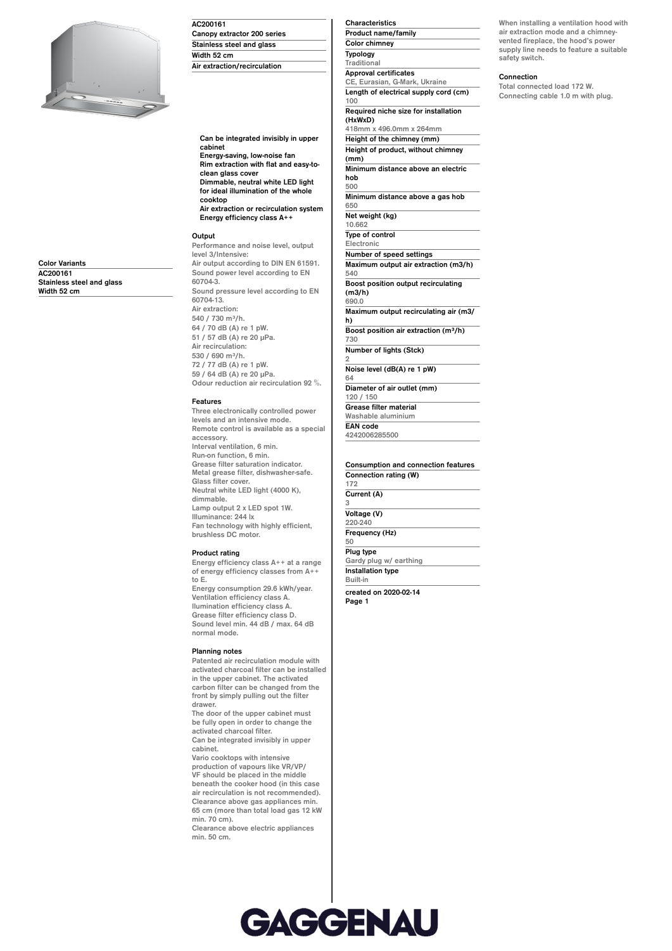

**Color Variants AC200161 Stainless steel and glass Width 52 cm**

# **AC200161**

| .<br>Canopy extractor 200 series |  |
|----------------------------------|--|
| Stainless steel and glass        |  |
| Width 52 cm                      |  |
| Air extraction/recirculation     |  |

**Can be integrated invisibly in upper cabinet Energy-saving, low-noise fan**

**Rim extraction with flat and easy-toclean glass cover Dimmable, neutral white LED light for ideal illumination of the whole cooktop Air extraction or recirculation system Energy efficiency class A++**

# **Output**

**Performance and noise level, output level 3/Intensive: Air output according to DIN EN 61591. Sound power level according to EN 60704-3. Sound pressure level according to EN 60704-13. Air extraction: 540 / 730 m³/h. 64 / 70 dB (A) re 1 pW. 51 / 57 dB (A) re 20 μPa. Air recirculation: 530 / 690 m³/h. 72 / 77 dB (A) re 1 pW. 59 / 64 dB (A) re 20 μPa. Odour reduction air recirculation 92 %.**

### **Features**

**Three electronically controlled power levels and an intensive mode. Remote control is available as a special accessory. Interval ventilation, 6 min. Run-on function, 6 min. Grease filter saturation indicator. Metal grease filter, dishwasher-safe. Glass filter cover. Neutral white LED light (4000 K), dimmable. Lamp output 2 x LED spot 1W. Illuminance: 244 lx Fan technology with highly efficient, brushless DC motor.**

#### **Product rating**

**Energy efficiency class A++ at a range of energy efficiency classes from A++ to E. Energy consumption 29.6 kWh/year. Ventilation efficiency class A. Ilumination efficiency class A.**

**Grease filter efficiency class D. Sound level min. 44 dB / max. 64 dB normal mode.**

## **Planning notes**

**Patented air recirculation module with activated charcoal filter can be installed in the upper cabinet. The activated carbon filter can be changed from the front by simply pulling out the filter drawer.**

**The door of the upper cabinet must be fully open in order to change the activated charcoal filter. Can be integrated invisibly in upper**

**cabinet. Vario cooktops with intensive**

**production of vapours like VR/VP/ VF should be placed in the middle beneath the cooker hood (in this case air recirculation is not recommended). Clearance above gas appliances min. 65 cm (more than total load gas 12 kW min. 70 cm).**

**Clearance above electric appliances min. 50 cm.**

**Product name/family Color chimney Typology Traditional Approval certificates CE, Eurasian, G-Mark, Ukraine Length of electrical supply cord (cm) 100 Required niche size for installation (HxWxD) 418mm x 496.0mm x 264mm Height of the chimney (mm) Height of product, without chimney (mm) Minimum distance above an electric hob 500 Minimum distance above a gas hob 650 Net weight (kg) 10.662 Type of control Electronic Number of speed settings**

**Characteristics**

**Maximum output air extraction (m3/h) 540**

**Boost position output recirculating (m3/h) 690.0**

**Maximum output recirculating air (m3/ h)**

**Boost position air extraction (m³/h) 730**

**Number of lights (Stck) 2**

**Noise level (dB(A) re 1 pW) 64**

**Diameter of air outlet (mm) 120 / 150**

**Grease filter material Washable aluminium EAN code**

**4242006285500**

**Consumption and connection features Connection rating (W) 172**

**Current (A) 3**

**Voltage (V) 220-240 Frequency (Hz) 50 Plug type Gardy plug w/ earthing**

**Installation type Built-in**

**created on 2020-02-14 Page 1**

**When installing a ventilation hood with air extraction mode and a chimney**vented fireplace, the hood's powe **supply line needs to feature a suitable safety switch.**

#### **Connection**

**Total connected load 172 W. Connecting cable 1.0 m with plug.**